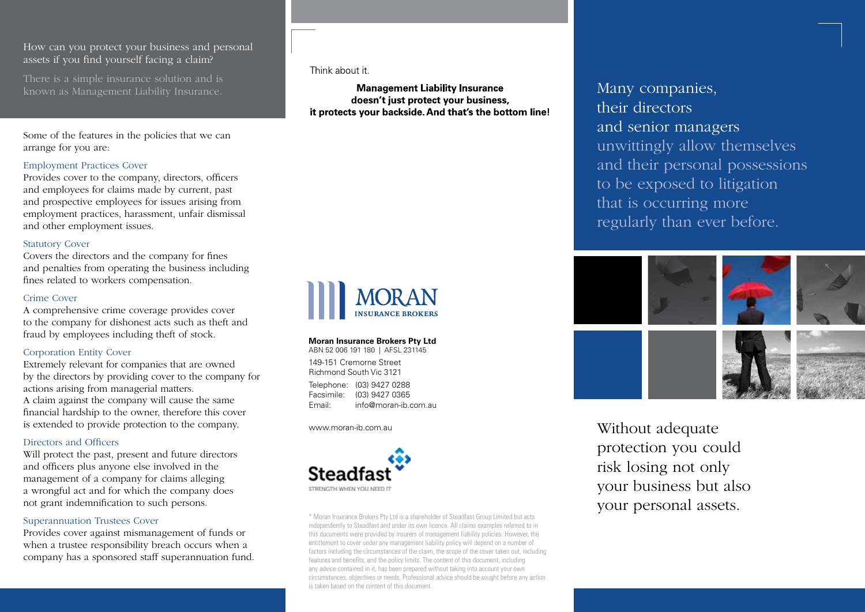## How can you protect your business and personal assets if you find yourself facing a claim?

There is a simple insurance solution and is known as Management Liability Insurance.

Some of the features in the policies that we can arrange for you are:

### Employment Practices Cover

Provides cover to the company, directors, officers and employees for claims made by current, past and prospective employees for issues arising from employment practices, harassment, unfair dismissal and other employment issues.

#### Statutory Cover

Covers the directors and the company for fines and penalties from operating the business including fines related to workers compensation.

#### Crime Cover

A comprehensive crime coverage provides cover to the company for dishonest acts such as theft and fraud by employees including theft of stock.

#### Corporation Entity Cover

Extremely relevant for companies that are owned by the directors by providing cover to the company for actions arising from managerial matters. A claim against the company will cause the same financial hardship to the owner, therefore this cover is extended to provide protection to the company.

#### Directors and Officers

Will protect the past, present and future directors and officers plus anyone else involved in the management of a company for claims alleging a wrongful act and for which the company does not grant indemnification to such persons.

#### Superannuation Trustees Cover

Provides cover against mismanagement of funds or when a trustee responsibility breach occurs when a company has a sponsored staff superannuation fund. Think about it

**Management Liability Insurance** doesn't just protect your business. it protects your backside. And that's the bottom line!



#### **Moran Insurance Brokers Pty Ltd** ABN 52 006 191 180 | AFSL 231145

149-151 Cremorne Street Richmond South Vic 3121

Telephone: (03) 9427 0288 Facsimile: (03) 9427 0365<br>Fmail: info@moran-ib.c  $info@moran-ih.com$ 

www.moran-ib.com.au



\* Moran Insurance Brokers Pty Ltd is a shareholder of Steadfast Group Limited but acts independently to Steadfast and under its own licence. All claims examples referred to in this documents were provided by insurers of management liability policies. However, the entitlement to cover under any management liability policy will depend on a number of factors including the circumstances of the claim, the scope of the cover taken out, including features and benefits, and the policy limits. The content of this document, including any advice contained in it, has been prepared without taking into account your own circumstances, objectives or needs. Professional advice should be sought before any action is taken based on the content of this document.

Many companies, their directors and senior managers unwittingly allow themselves and their personal possessions to be exposed to litigation that is occurring more regularly than ever before.



Without adequate protection you could risk losing not only your business but also your personal assets.